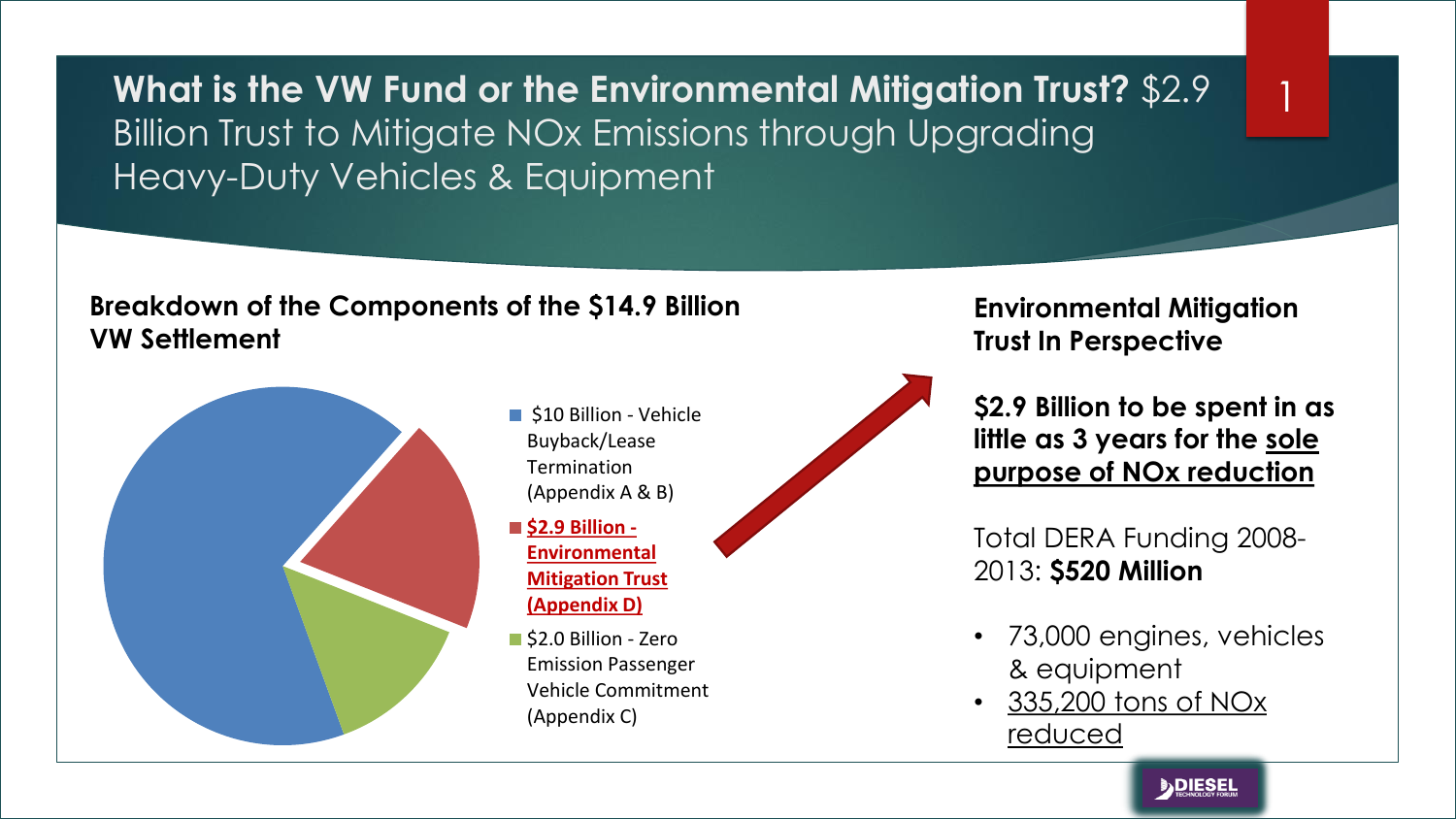**What is the VW Fund or the Environmental Mitigation Trust?** \$2.9 Billion Trust to Mitigate NOx Emissions through Upgrading Heavy-Duty Vehicles & Equipment

#### **Breakdown of the Components of the \$14.9 Billion VW Settlement**



- **510 Billion Vehicle** Buyback/Lease Termination (Appendix A & B)
- \$2.9 Billion -**Environmental Mitigation Trust (Appendix D)**
- S2.0 Billion Zero Emission Passenger Vehicle Commitment (Appendix C)



**Environmental Mitigation Trust In Perspective**

1

**\$2.9 Billion to be spent in as little as 3 years for the sole purpose of NOx reduction**

Total DERA Funding 2008- 2013: **\$520 Million**

- 73,000 engines, vehicles & equipment
- 335,200 tons of NOx reduced

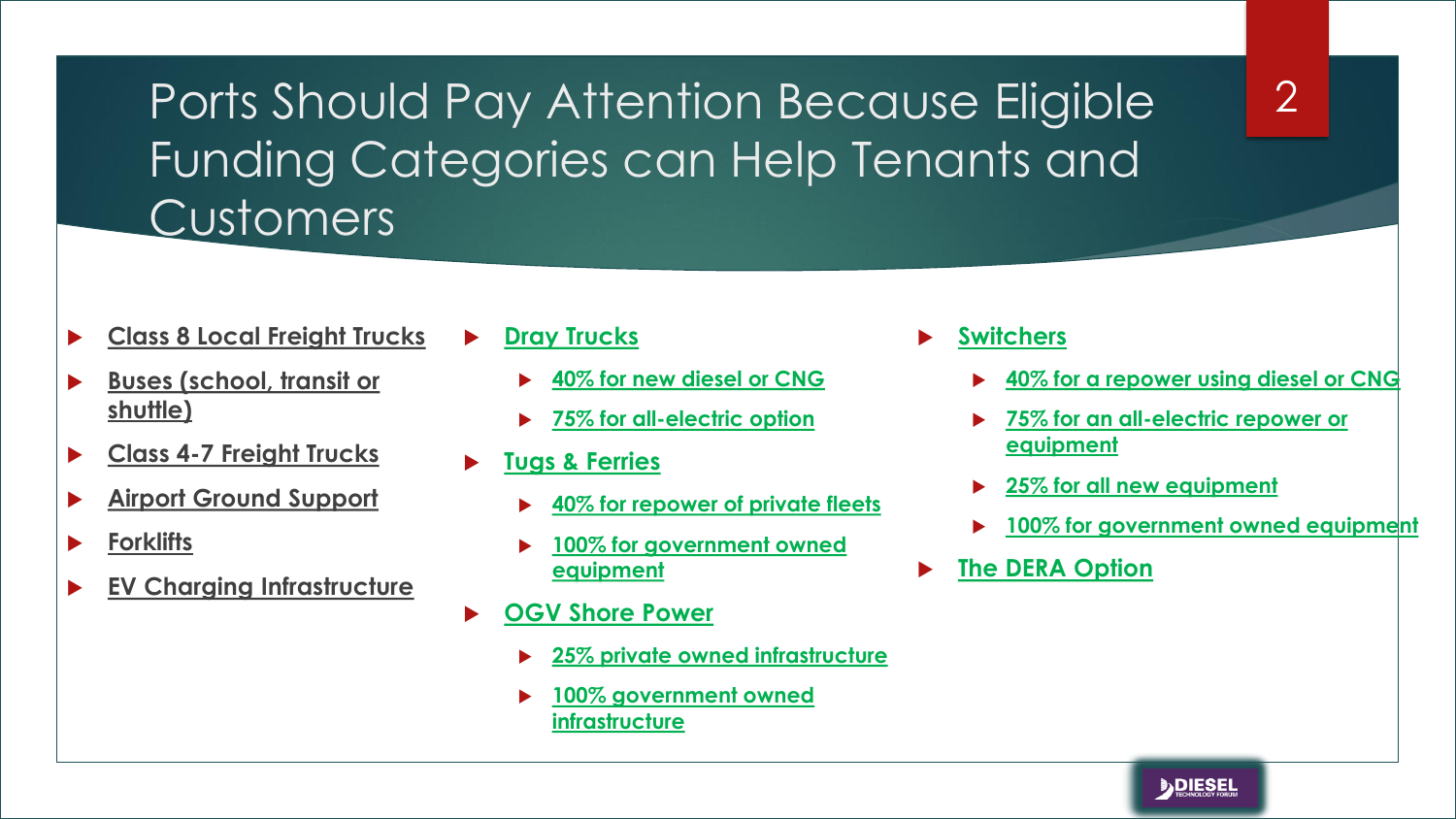Ports Should Pay Attention Because Eligible Funding Categories can Help Tenants and Customers

- **Class 8 Local Freight Trucks**
- **Buses (school, transit or shuttle)**
- **Class 4-7 Freight Trucks**
- **Airport Ground Support**
- **Forklifts**
- **EV Charging Infrastructure**
- **Dray Trucks**
	- **40% for new diesel or CNG**
	- **75% for all-electric option**
- **Tugs & Ferries**
	- **40% for repower of private fleets**
	- **100% for government owned equipment**
- **OGV Shore Power**
	- **25% private owned infrastructure**
	- **100% government owned infrastructure**
- **Switchers**
	- **40% for a repower using diesel or CNG**

2

- **75% for an all-electric repower or equipment**
- **25% for all new equipment**
- **100% for government owned equipment**
- **The DERA Option**

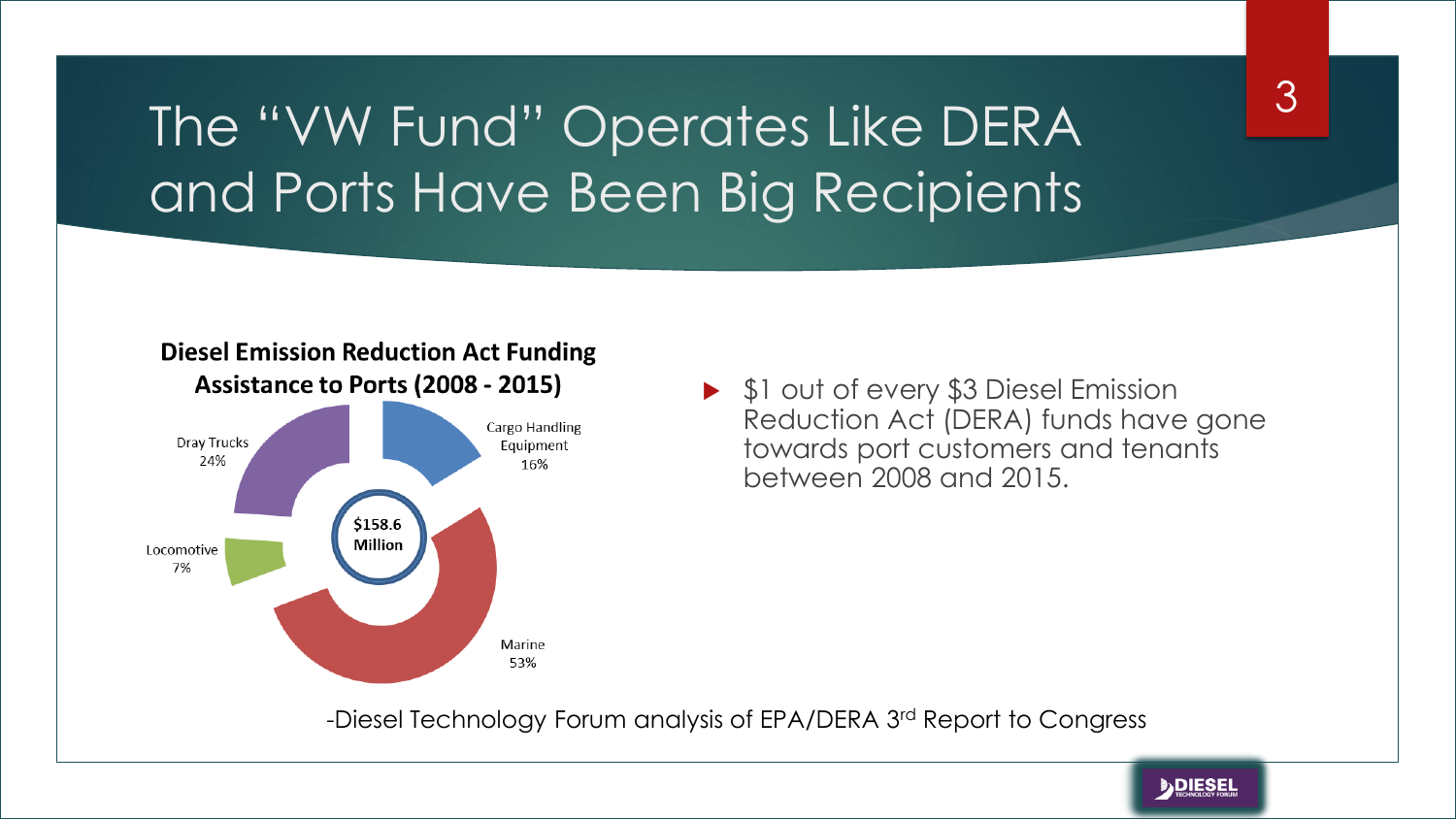### The "VW Fund" Operates Like DERA and Ports Have Been Big Recipients

#### **Diesel Emission Reduction Act Funding** Assistance to Ports (2008 - 2015)



▶ \$1 out of every \$3 Diesel Emission Reduction Act (DERA) funds have gone towards port customers and tenants between 2008 and 2015.

-Diesel Technology Forum analysis of EPA/DERA 3rd Report to Congress

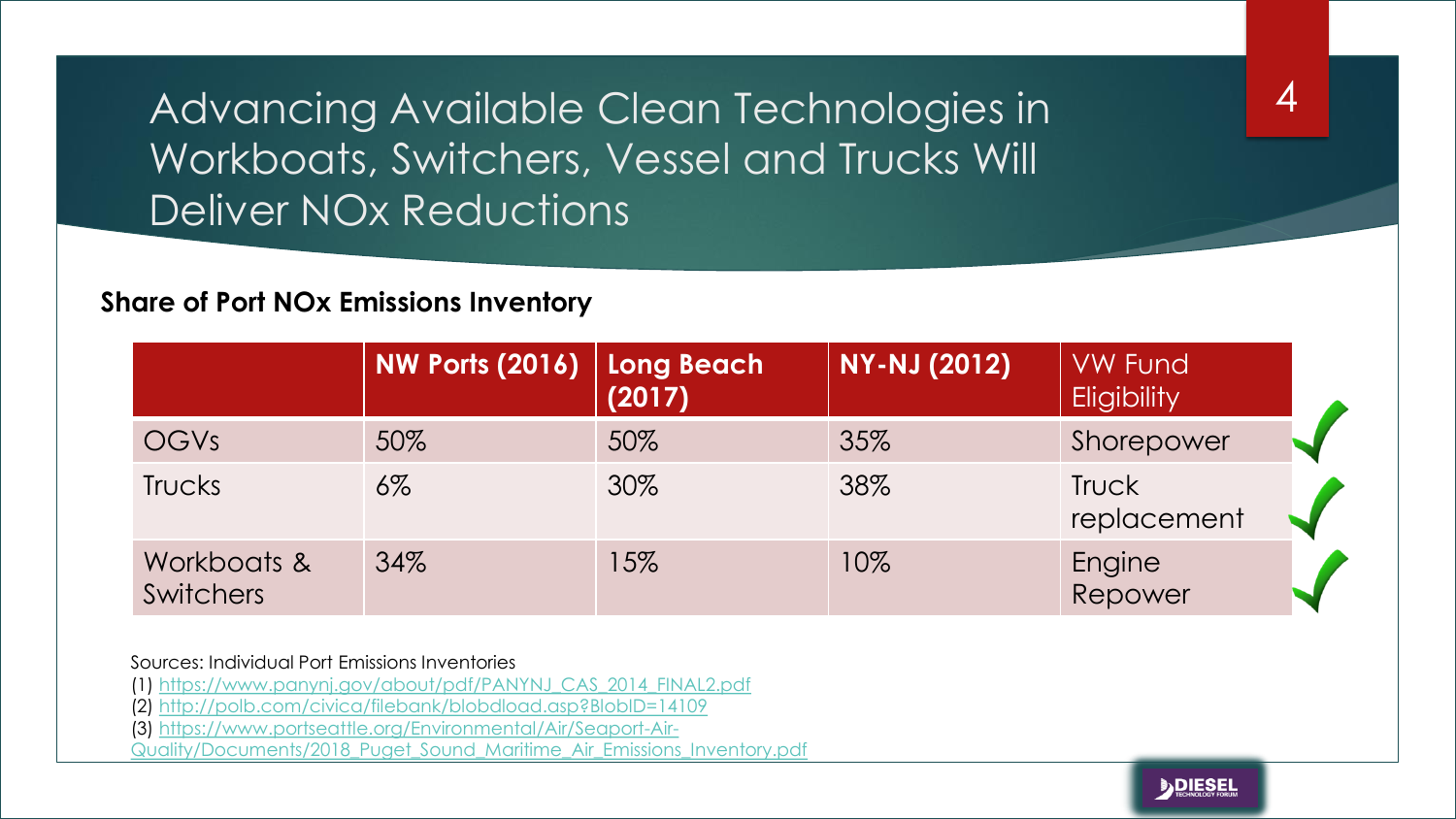Advancing Available Clean Technologies in Workboats, Switchers, Vessel and Trucks Will Deliver NOx Reductions

#### **Share of Port NOx Emissions Inventory**

|                                 | $\mid$ NW Ports (2016) $\mid$ Long Beach $\mid$ | (2017) | <b>NY-NJ (2012)</b> | <b>VW Fund</b><br><b>Eligibility</b> |
|---------------------------------|-------------------------------------------------|--------|---------------------|--------------------------------------|
| OGVs                            | 50%                                             | 50%    | 35%                 | Shorepower                           |
| Trucks                          | $6\%$                                           | 30%    | 38%                 | Truck<br>replacement                 |
| Workboats &<br><b>Switchers</b> | 34%                                             | 15%    | 10%                 | Engine<br>Repower                    |

Sources: Individual Port Emissions Inventories

(1) [https://www.panynj.gov/about/pdf/PANYNJ\\_CAS\\_2014\\_FINAL2.pdf](https://www.panynj.gov/about/pdf/PANYNJ_CAS_2014_FINAL2.pdf)

(2) <http://polb.com/civica/filebank/blobdload.asp?BlobID=14109>

(3) https://www.portseattle.org/Environmental/Air/Seaport-Air-

[Quality/Documents/2018\\_Puget\\_Sound\\_Maritime\\_Air\\_Emissions\\_Inventory.pdf](https://www.portseattle.org/Environmental/Air/Seaport-Air-Quality/Documents/2018_Puget_Sound_Maritime_Air_Emissions_Inventory.pdf)



4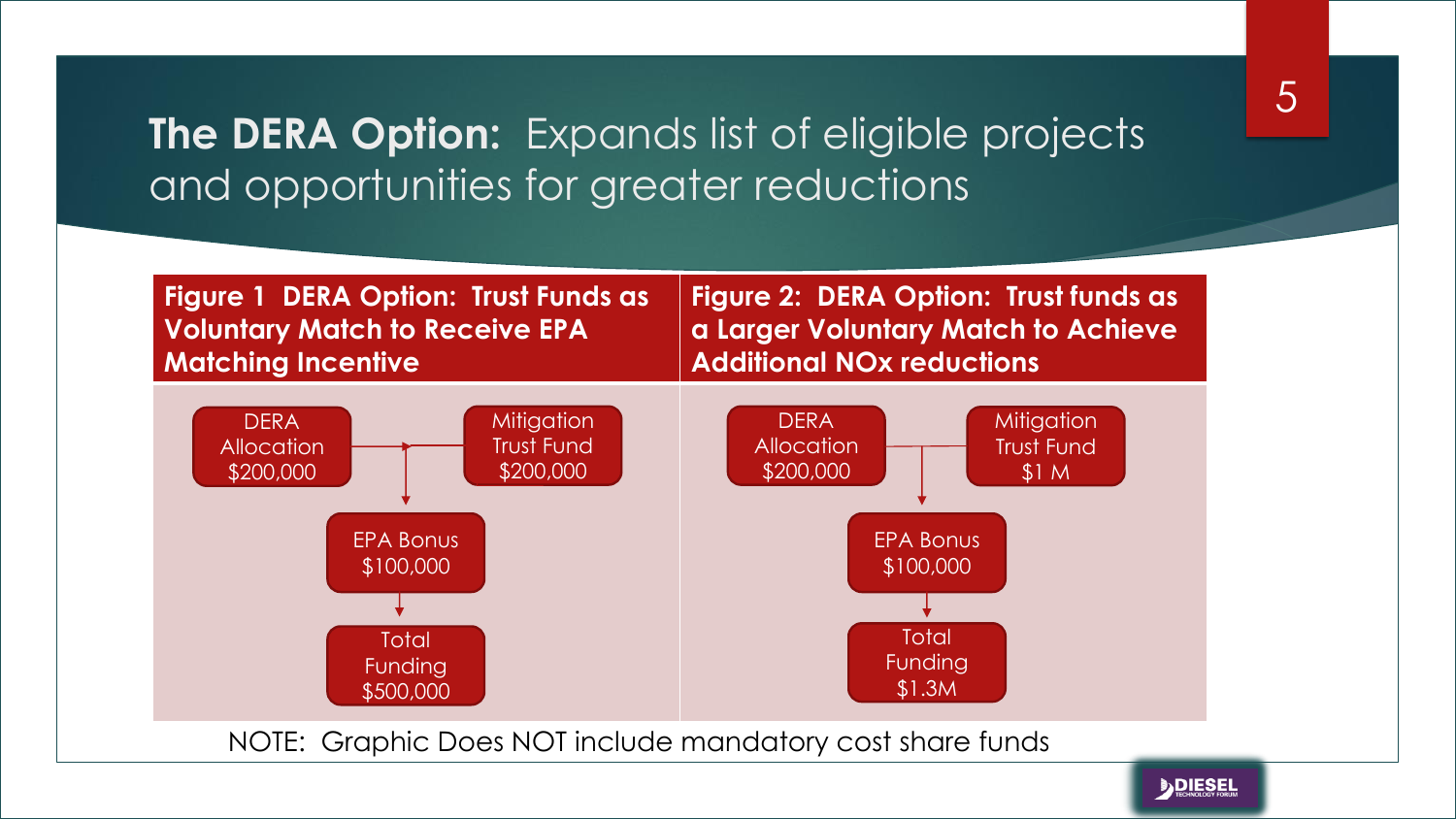#### **The DERA Option:** Expands list of eligible projects and opportunities for greater reductions



5

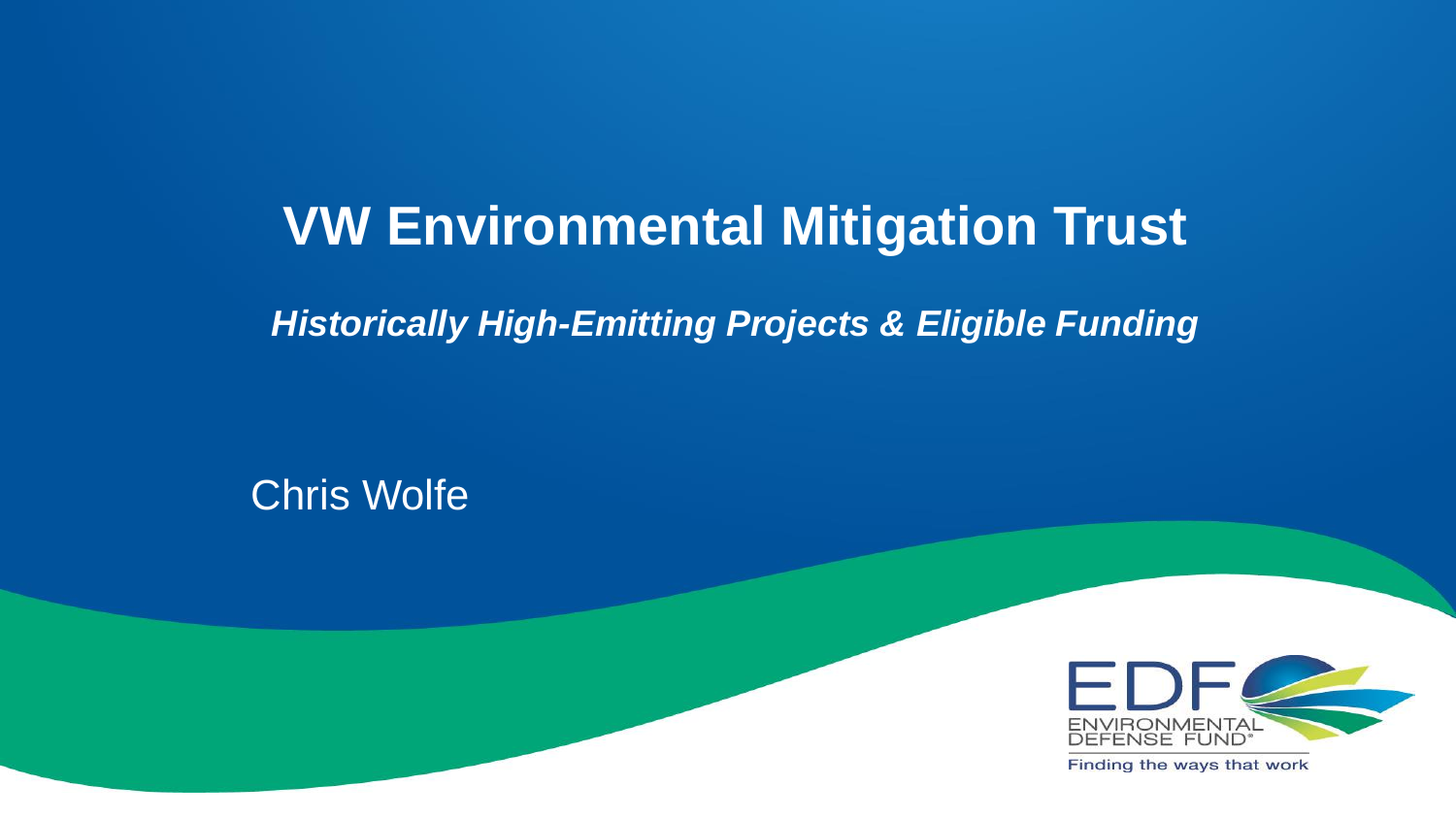#### **VW Environmental Mitigation Trust**

*Historically High-Emitting Projects & Eligible Funding*

Chris Wolfe



Finding the ways that work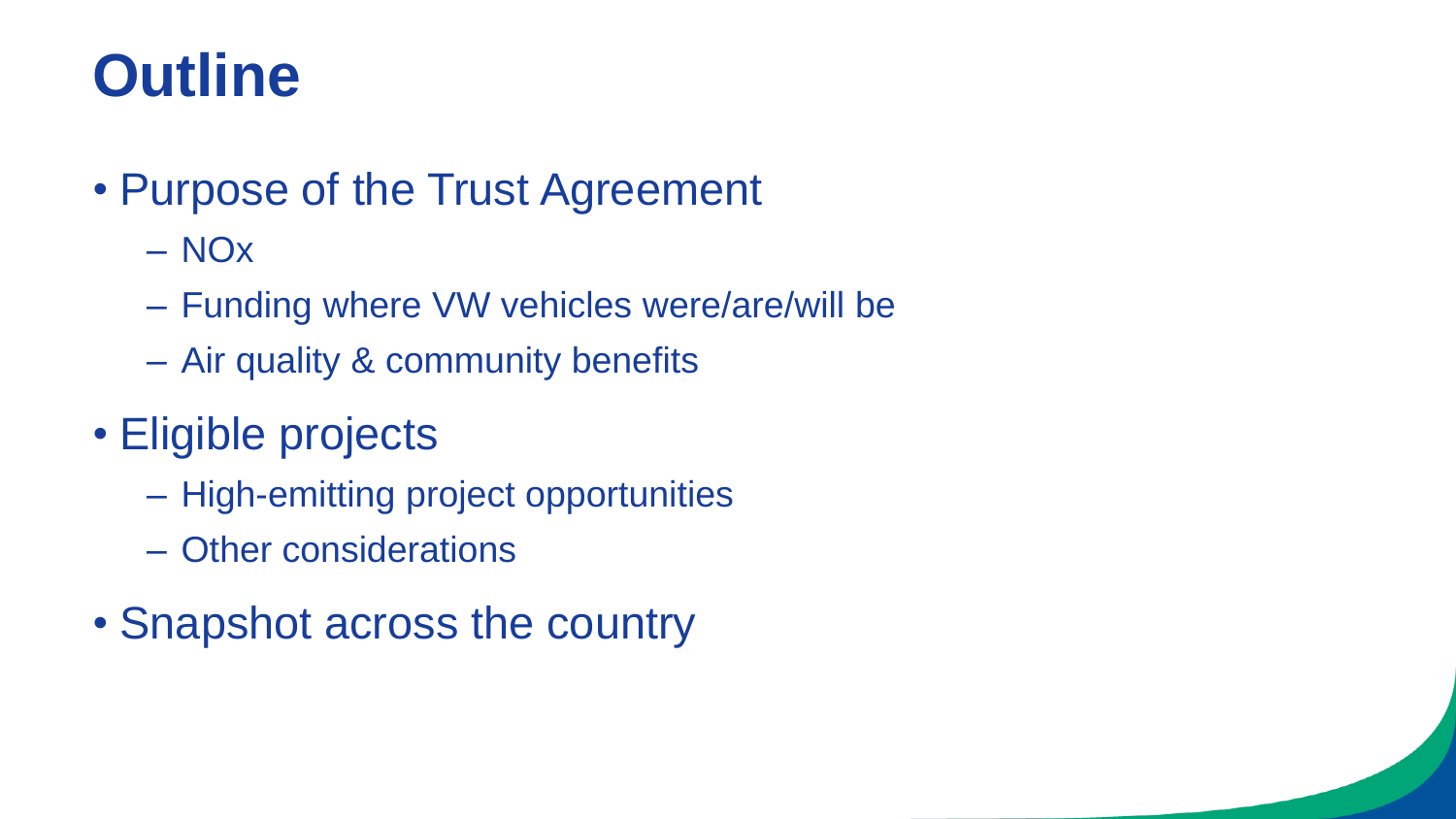# **Outline**

#### • Purpose of the Trust Agreement

- NOx
- Funding where VW vehicles were/are/will be
- Air quality & community benefits
- Eligible projects
	- High-emitting project opportunities
	- Other considerations
- Snapshot across the country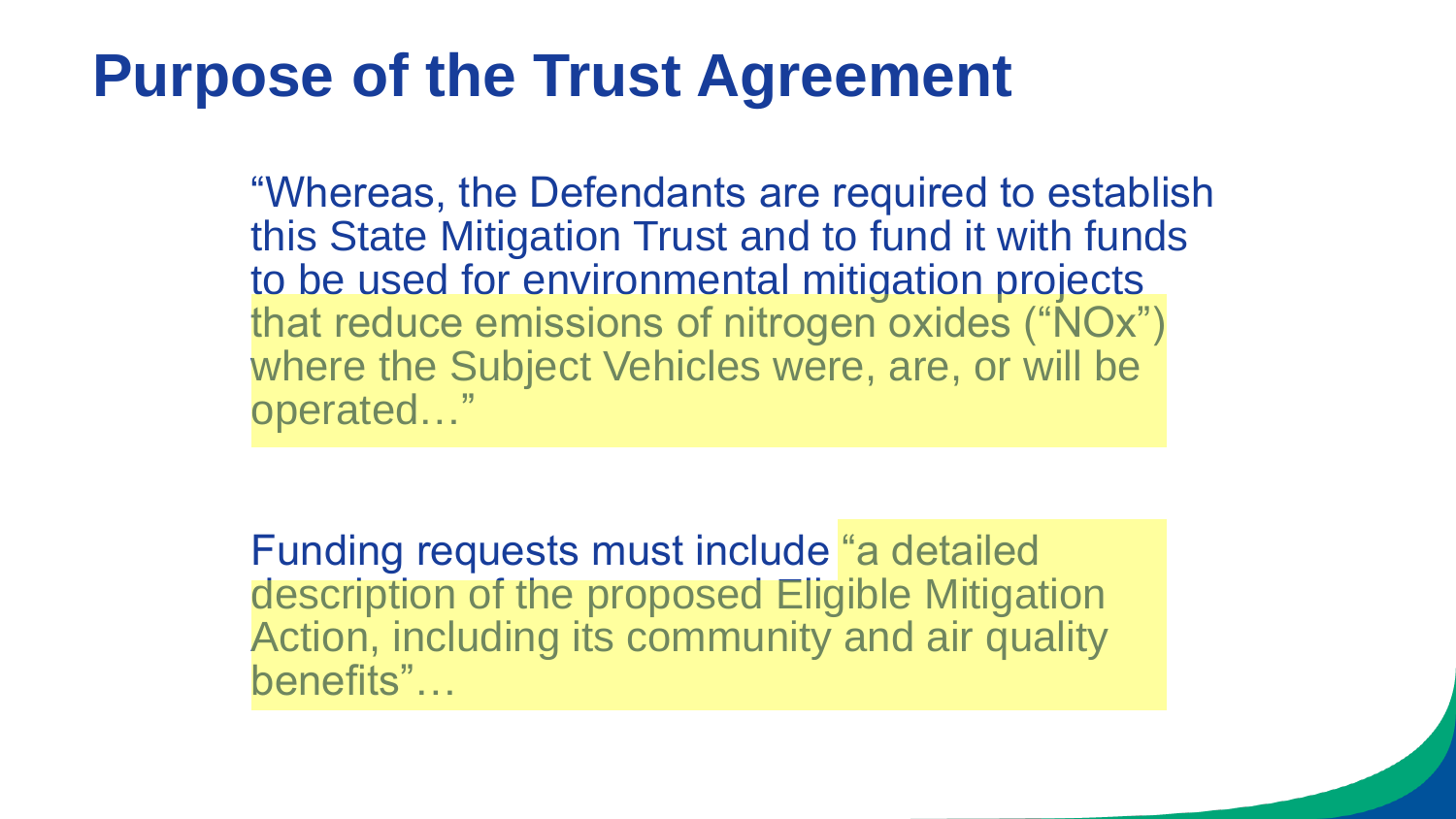## **Purpose of the Trust Agreement**

"Whereas, the Defendants are required to establish this State Mitigation Trust and to fund it with funds to be used for environmental mitigation projects that reduce emissions of nitrogen oxides ("NOx") where the Subject Vehicles were, are, or will be operated…"

Funding requests must include "a detailed description of the proposed Eligible Mitigation Action, including its community and air quality benefits"…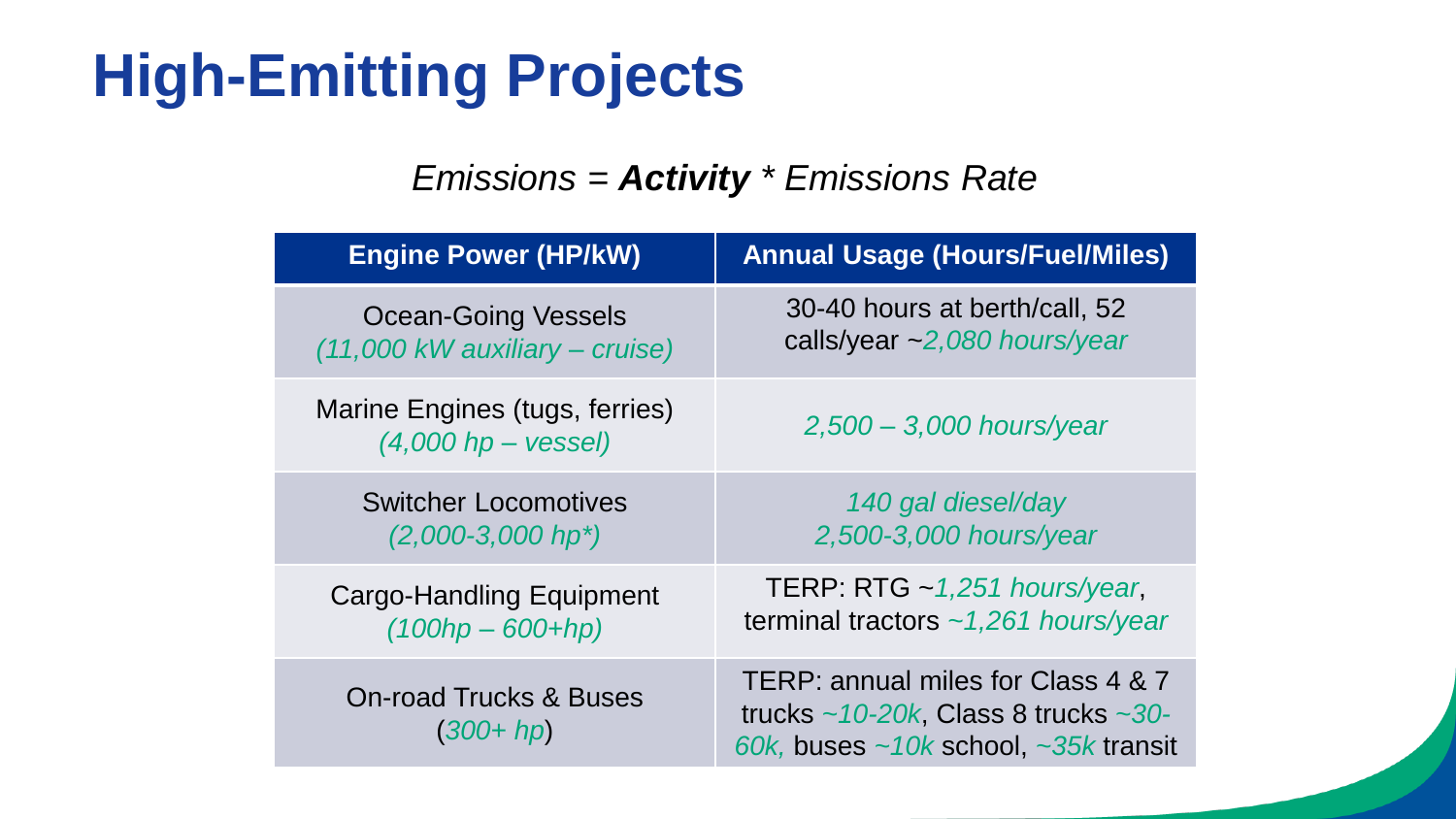# **High-Emitting Projects**

#### *Emissions = Activity \* Emissions Rate*

| <b>Engine Power (HP/kW)</b>                             | <b>Annual Usage (Hours/Fuel/Miles)</b>                                                                                                    |
|---------------------------------------------------------|-------------------------------------------------------------------------------------------------------------------------------------------|
| <b>Ocean-Going Vessels</b>                              | 30-40 hours at berth/call, 52                                                                                                             |
| (11,000 kW auxiliary – cruise)                          | calls/year ~2,080 hours/year                                                                                                              |
| Marine Engines (tugs, ferries)<br>$(4,000$ hp – vessel) | $2,500 - 3,000$ hours/year                                                                                                                |
| <b>Switcher Locomotives</b>                             | 140 gal diesel/day                                                                                                                        |
| $(2,000-3,000$ hp <sup>*</sup> )                        | 2,500-3,000 hours/year                                                                                                                    |
| <b>Cargo-Handling Equipment</b>                         | TERP: RTG $\sim$ 1,251 hours/year,                                                                                                        |
| $(100hp - 600 + hp)$                                    | terminal tractors $\sim$ 1,261 hours/year                                                                                                 |
| <b>On-road Trucks &amp; Buses</b><br>$(300 + hp)$       | TERP: annual miles for Class 4 & 7<br>trucks $\sim$ 10-20k, Class 8 trucks $\sim$ 30-<br>60k, buses $\sim$ 10k school, $\sim$ 35k transit |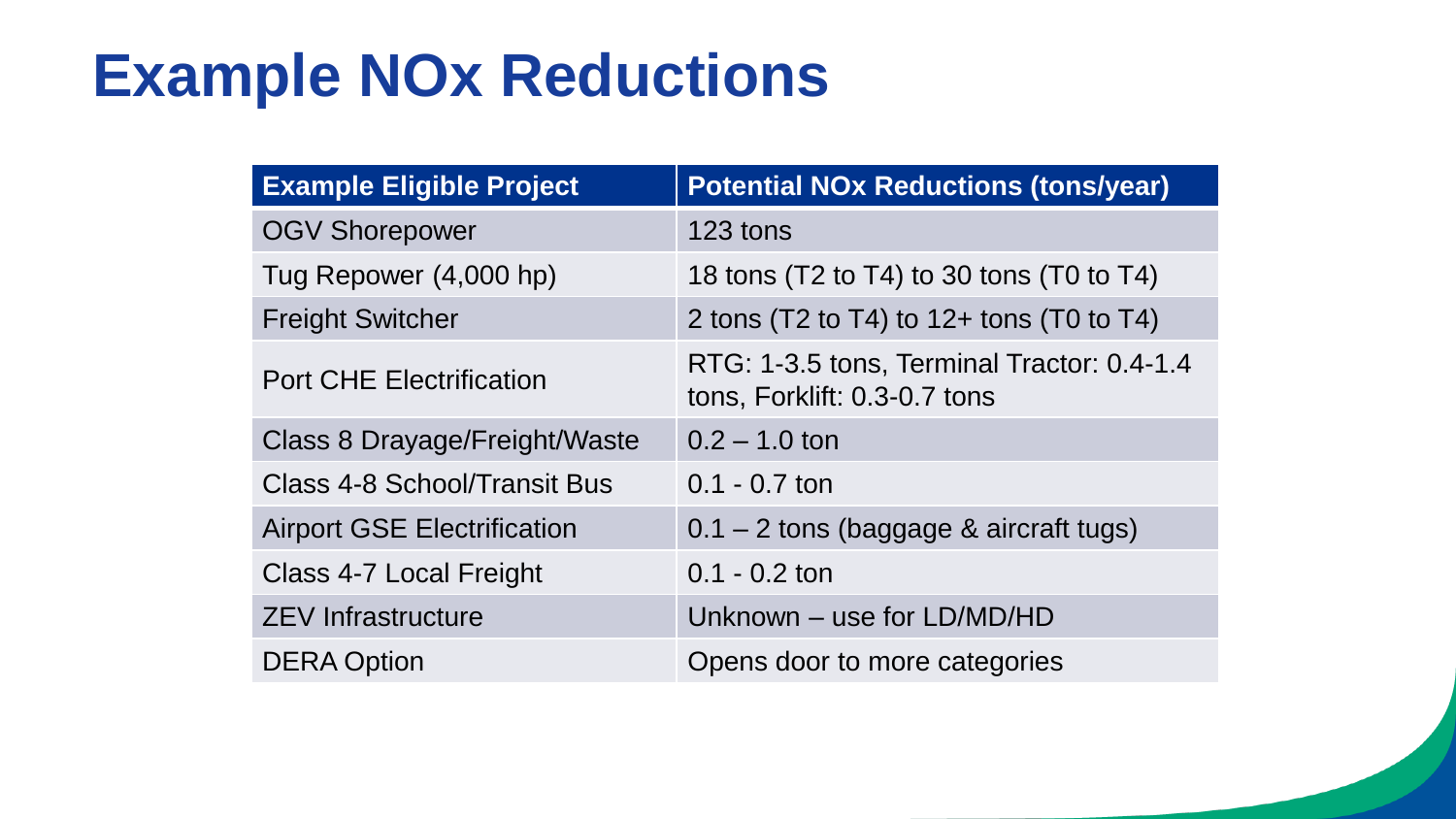## **Example NOx Reductions**

| <b>Example Eligible Project</b>    | <b>Potential NOx Reductions (tons/year)</b>                                |  |
|------------------------------------|----------------------------------------------------------------------------|--|
| <b>OGV Shorepower</b>              | 123 tons                                                                   |  |
| Tug Repower (4,000 hp)             | 18 tons $(T2 \text{ to } T4)$ to 30 tons $(T0 \text{ to } T4)$             |  |
| <b>Freight Switcher</b>            | 2 tons (T2 to T4) to $12+$ tons (T0 to T4)                                 |  |
| <b>Port CHE Electrification</b>    | RTG: 1-3.5 tons, Terminal Tractor: 0.4-1.4<br>tons, Forklift: 0.3-0.7 tons |  |
| Class 8 Drayage/Freight/Waste      | $0.2 - 1.0$ ton                                                            |  |
| Class 4-8 School/Transit Bus       | $0.1 - 0.7$ ton                                                            |  |
| <b>Airport GSE Electrification</b> | $0.1 - 2$ tons (baggage & aircraft tugs)                                   |  |
| Class 4-7 Local Freight            | $0.1 - 0.2$ ton                                                            |  |
| <b>ZEV Infrastructure</b>          | Unknown - use for LD/MD/HD                                                 |  |
| <b>DERA Option</b>                 | Opens door to more categories                                              |  |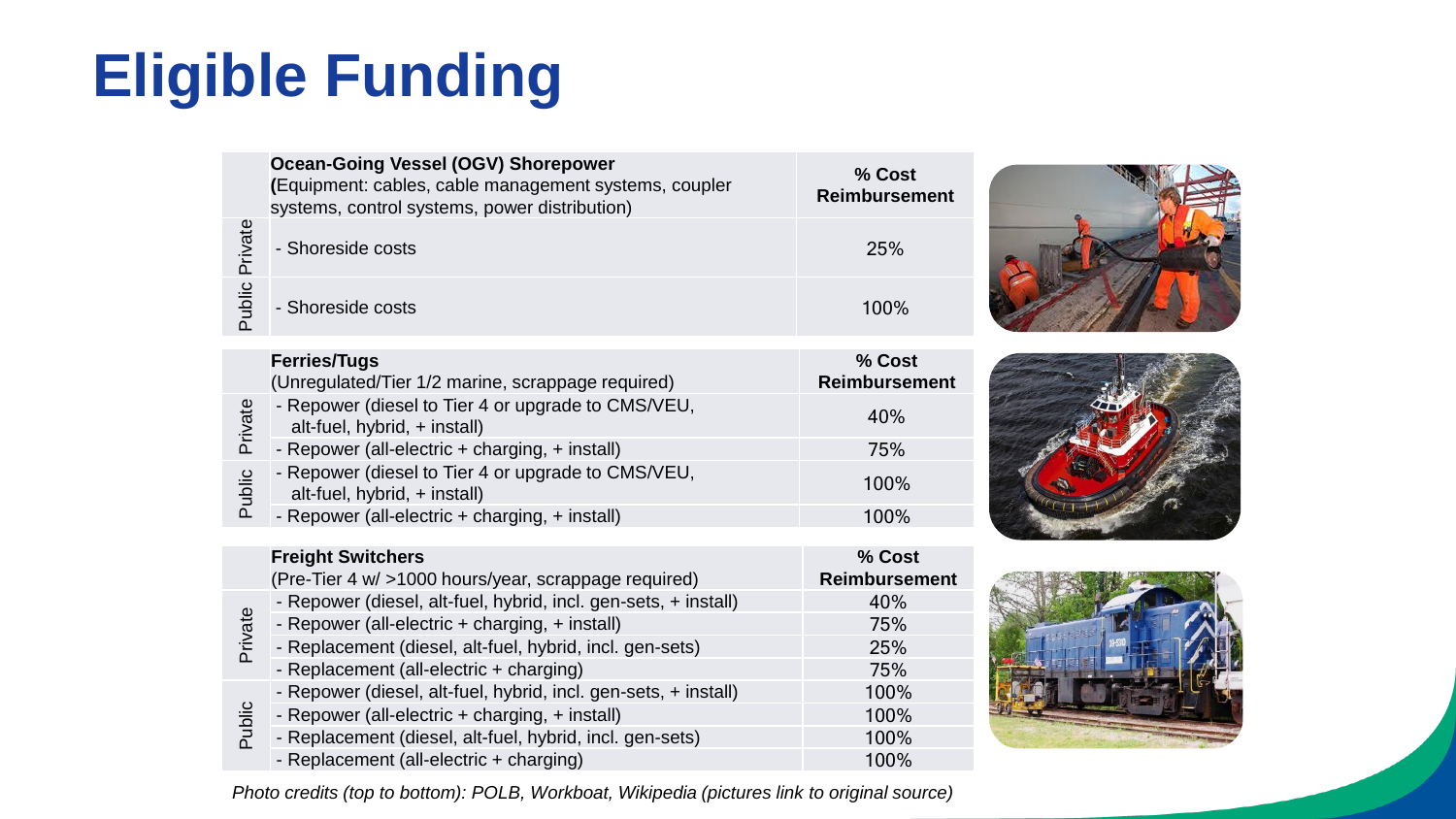# **Eligible Funding**

|         | <b>Ocean-Going Vessel (OGV) Shorepower</b><br>(Equipment: cables, cable management systems, coupler<br>systems, control systems, power distribution) | % Cost<br><b>Reimbursement</b> |  |
|---------|------------------------------------------------------------------------------------------------------------------------------------------------------|--------------------------------|--|
| Private | - Shoreside costs                                                                                                                                    | 25%                            |  |
| Public  | - Shoreside costs                                                                                                                                    | 100%                           |  |
|         | <b>Ferries/Tugs</b>                                                                                                                                  | % Cost                         |  |
|         | (Unregulated/Tier 1/2 marine, scrappage required)                                                                                                    | <b>Reimbursement</b>           |  |
| Private | - Repower (diesel to Tier 4 or upgrade to CMS/VEU,<br>alt-fuel, hybrid, + install)                                                                   | 40%                            |  |
|         | - Repower (all-electric + charging, + install)                                                                                                       | 75%                            |  |
| Public  | - Repower (diesel to Tier 4 or upgrade to CMS/VEU,<br>alt-fuel, hybrid, + install)                                                                   | 100%                           |  |
|         | - Repower (all-electric + charging, + install)                                                                                                       | 100%                           |  |
|         | <b>Freight Switchers</b>                                                                                                                             | % Cost                         |  |

| <b>Freight Switchers</b>                                            | % Cost               |
|---------------------------------------------------------------------|----------------------|
| (Pre-Tier 4 w/ >1000 hours/year, scrappage required)                | <b>Reimbursement</b> |
| - Repower (diesel, alt-fuel, hybrid, incl. gen-sets, + install)     | 40%                  |
| - Repower (all-electric + charging, + install)                      | 75%                  |
| Private<br>- Replacement (diesel, alt-fuel, hybrid, incl. gen-sets) | 25%                  |
| - Replacement (all-electric + charging)                             | 75%                  |
| - Repower (diesel, alt-fuel, hybrid, incl. gen-sets, + install)     | 100%                 |
| Public<br>- Repower (all-electric + charging, + install)            | 100%                 |
| - Replacement (diesel, alt-fuel, hybrid, incl. gen-sets)            | 100%                 |
| - Replacement (all-electric + charging)                             | 100%                 |



*Photo credits (top to bottom): POLB, Workboat, Wikipedia (pictures link to original source)*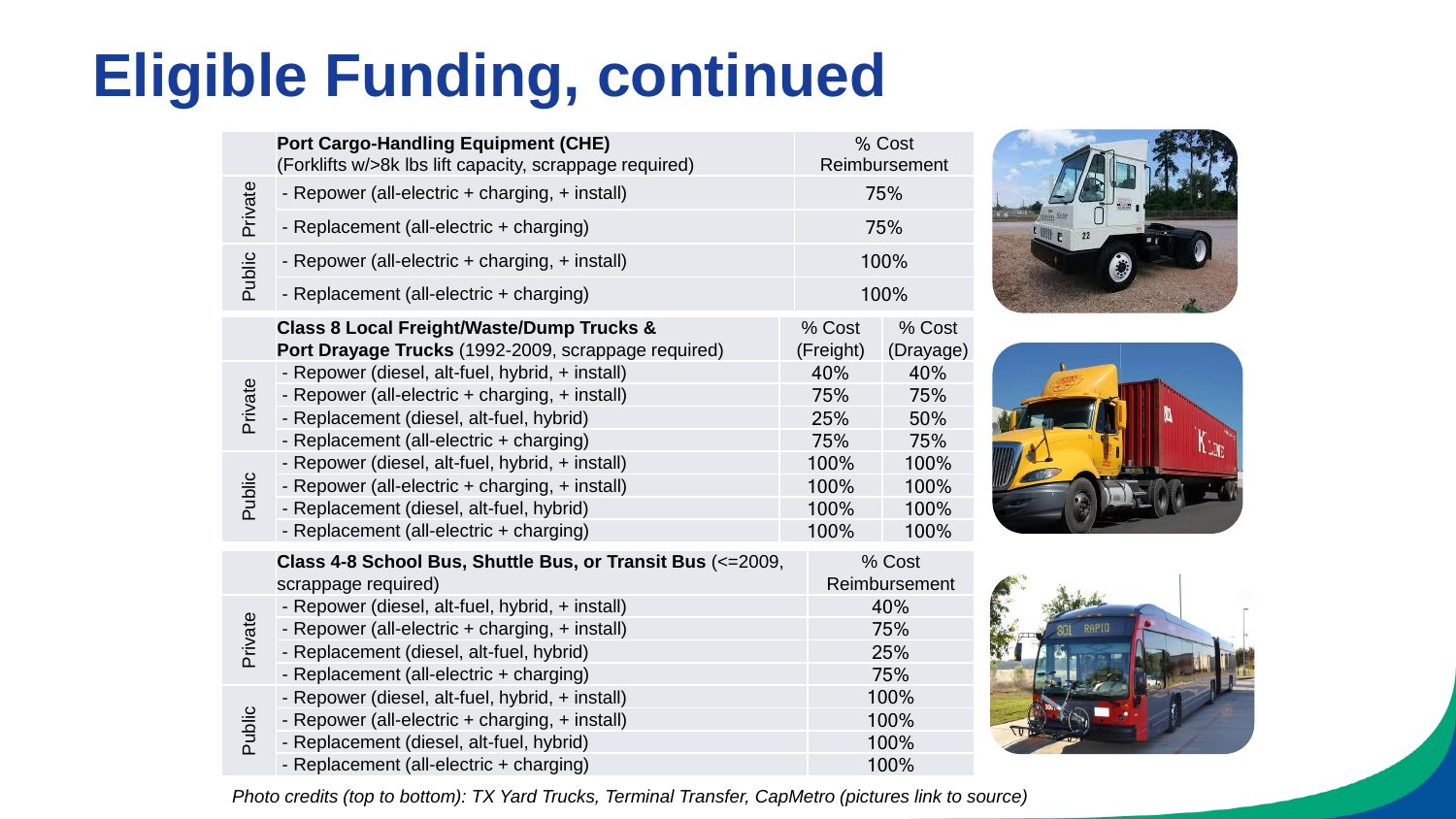# **Eligible Funding, continued**

|         | <b>Port Cargo-Handling Equipment (CHE)</b><br>% Cost<br>Reimbursement<br>(Forklifts w/>8k lbs lift capacity, scrappage required)                                                         |                              |                              |
|---------|------------------------------------------------------------------------------------------------------------------------------------------------------------------------------------------|------------------------------|------------------------------|
| Private | - Repower (all-electric + charging, + install)                                                                                                                                           |                              | 75%                          |
|         | - Replacement (all-electric + charging)                                                                                                                                                  |                              | 75%                          |
| Public  | - Repower (all-electric + charging, + install)                                                                                                                                           |                              | 100%                         |
|         | - Replacement (all-electric + charging)                                                                                                                                                  | 100%                         |                              |
|         | <b>Class 8 Local Freight/Waste/Dump Trucks &amp;</b><br>Port Drayage Trucks (1992-2009, scrappage required)                                                                              | % Cost<br>(Freight)          | % Cost<br>(Drayage)          |
| Private | - Repower (diesel, alt-fuel, hybrid, + install)<br>- Repower (all-electric + charging, + install)<br>- Replacement (diesel, alt-fuel, hybrid)<br>- Replacement (all-electric + charging) | 40%<br>75%<br>25%<br>75%     | 40%<br>75%<br>50%<br>75%     |
| Public  | - Repower (diesel, alt-fuel, hybrid, + install)<br>- Repower (all-electric + charging, + install)<br>- Replacement (diesel, alt-fuel, hybrid)<br>- Replacement (all-electric + charging) | 100%<br>100%<br>100%<br>100% | 100%<br>100%<br>100%<br>100% |
|         | Class 4-8 School Bus, Shuttle Bus, or Transit Bus (<= 2009,<br>scrappage required)                                                                                                       |                              | % Cost<br>Reimbursement      |
| Private | - Repower (diesel, alt-fuel, hybrid, + install)<br>- Repower (all-electric + charging, + install)                                                                                        |                              | 40%<br>75%                   |
|         | - Replacement (diesel, alt-fuel, hybrid)                                                                                                                                                 | 25%                          |                              |

- Replacement (diesel, alt-fuel, hybrid) 25% - Replacement (all-electric + charging) 75% - Repower (diesel, alt-fuel, hybrid, + install) 100%







Public - Repower (all-electric + charging, + install) 100% - Replacement (diesel, alt-fuel, hybrid) 100%

- Replacement (all-electric + charging) 100%

*Photo credits (top to bottom): TX Yard Trucks, Terminal Transfer, CapMetro (pictures link to source)*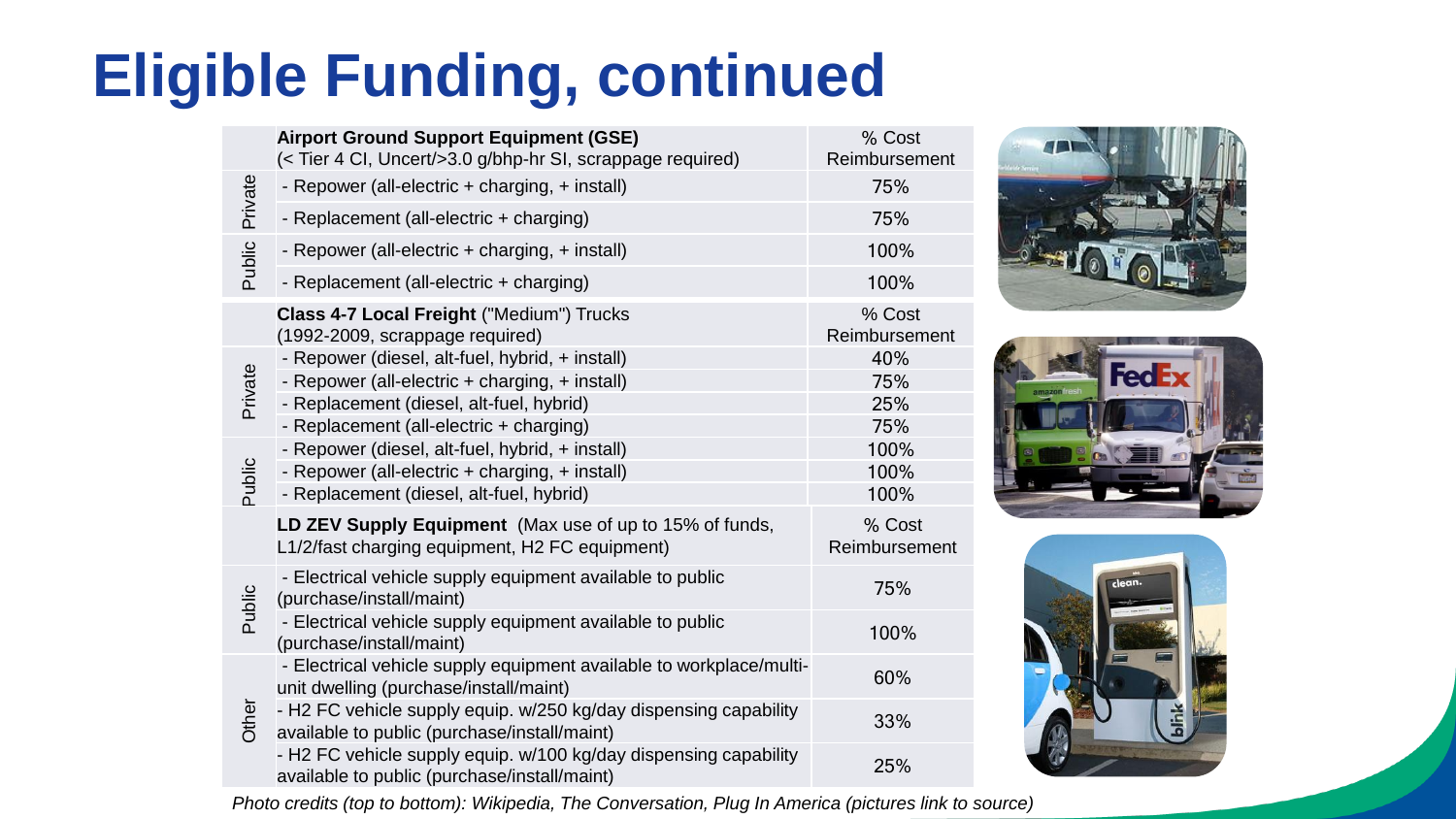# **Eligible Funding, continued**

|         | <b>Airport Ground Support Equipment (GSE)</b><br>(< Tier 4 CI, Uncert/>3.0 g/bhp-hr SI, scrappage required)      | % Cost<br>Reimbursement |
|---------|------------------------------------------------------------------------------------------------------------------|-------------------------|
| Private | - Repower (all-electric + charging, + install)                                                                   | 75%                     |
|         | - Replacement (all-electric + charging)                                                                          | 75%                     |
| Public  | - Repower (all-electric + charging, + install)                                                                   | 100%                    |
|         | - Replacement (all-electric + charging)                                                                          | 100%                    |
|         | Class 4-7 Local Freight ("Medium") Trucks<br>(1992-2009, scrappage required)                                     | % Cost<br>Reimbursement |
|         | - Repower (diesel, alt-fuel, hybrid, + install)                                                                  | 40%                     |
| Private | - Repower (all-electric + charging, + install)                                                                   | 75%                     |
|         | - Replacement (diesel, alt-fuel, hybrid)                                                                         | 25%                     |
|         | - Replacement (all-electric + charging)                                                                          | 75%                     |
| Public  | - Repower (diesel, alt-fuel, hybrid, + install)<br>- Repower (all-electric + charging, + install)                | 100%<br>100%            |
|         | - Replacement (diesel, alt-fuel, hybrid)                                                                         | 100%                    |
|         | LD ZEV Supply Equipment (Max use of up to 15% of funds,<br>L1/2/fast charging equipment, H2 FC equipment)        | % Cost<br>Reimbursement |
| Public  | - Electrical vehicle supply equipment available to public<br>(purchase/install/maint)                            | 75%                     |
|         | - Electrical vehicle supply equipment available to public<br>(purchase/install/maint)                            | 100%                    |
| Other   | - Electrical vehicle supply equipment available to workplace/multi-<br>unit dwelling (purchase/install/maint)    | 60%                     |
|         | - H2 FC vehicle supply equip. w/250 kg/day dispensing capability<br>available to public (purchase/install/maint) | 33%                     |
|         | - H2 FC vehicle supply equip. w/100 kg/day dispensing capability<br>available to public (purchase/install/maint) | 25%                     |







*Photo credits (top to bottom): Wikipedia, The Conversation, Plug In America (pictures link to source)*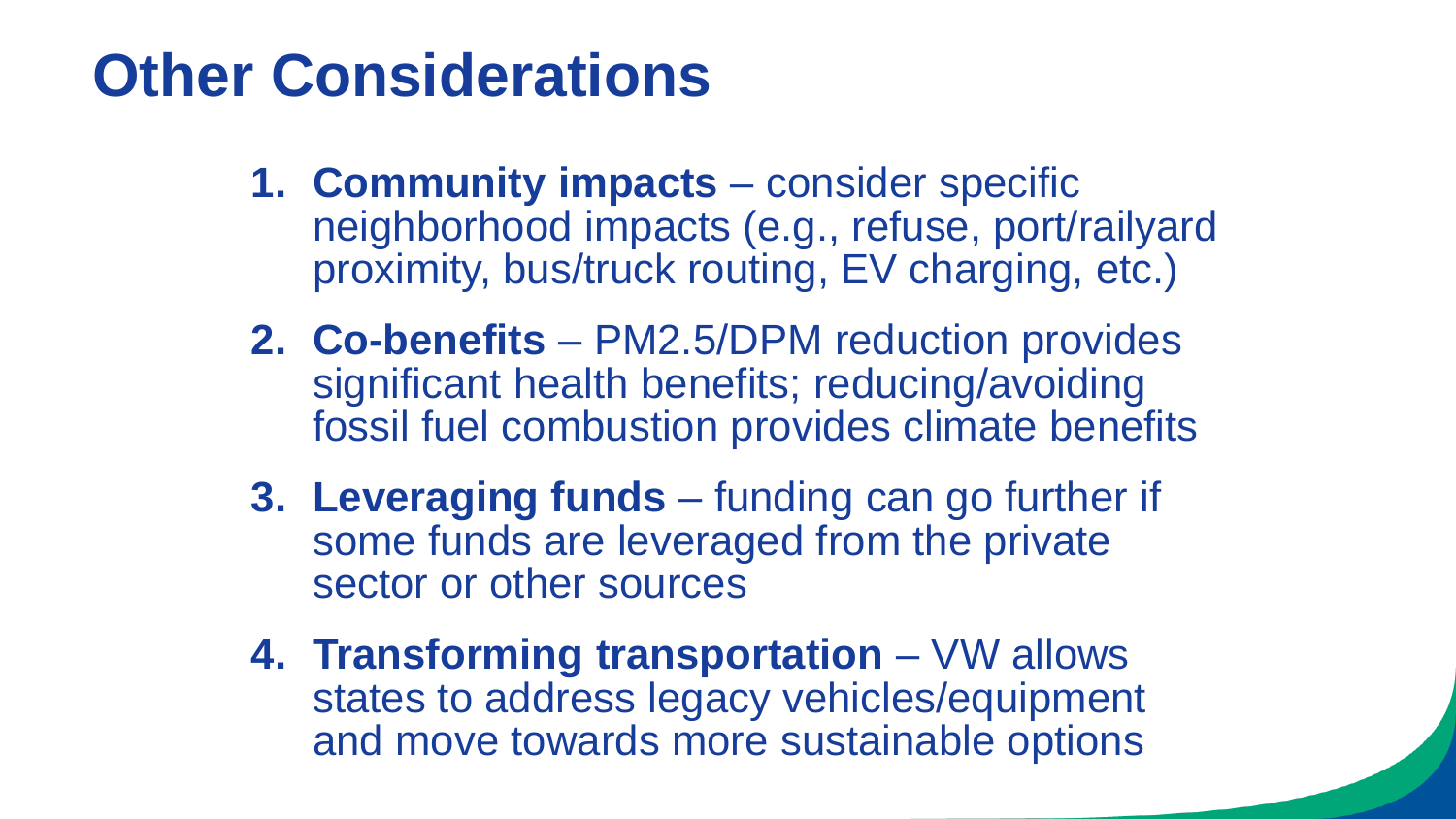## **Other Considerations**

- **1. Community impacts**  consider specific neighborhood impacts (e.g., refuse, port/railyard proximity, bus/truck routing, EV charging, etc.)
- **2. Co-benefits**  PM2.5/DPM reduction provides significant health benefits; reducing/avoiding fossil fuel combustion provides climate benefits
- **3. Leveraging funds**  funding can go further if some funds are leveraged from the private sector or other sources
- **4. Transforming transportation**  VW allows states to address legacy vehicles/equipment and move towards more sustainable options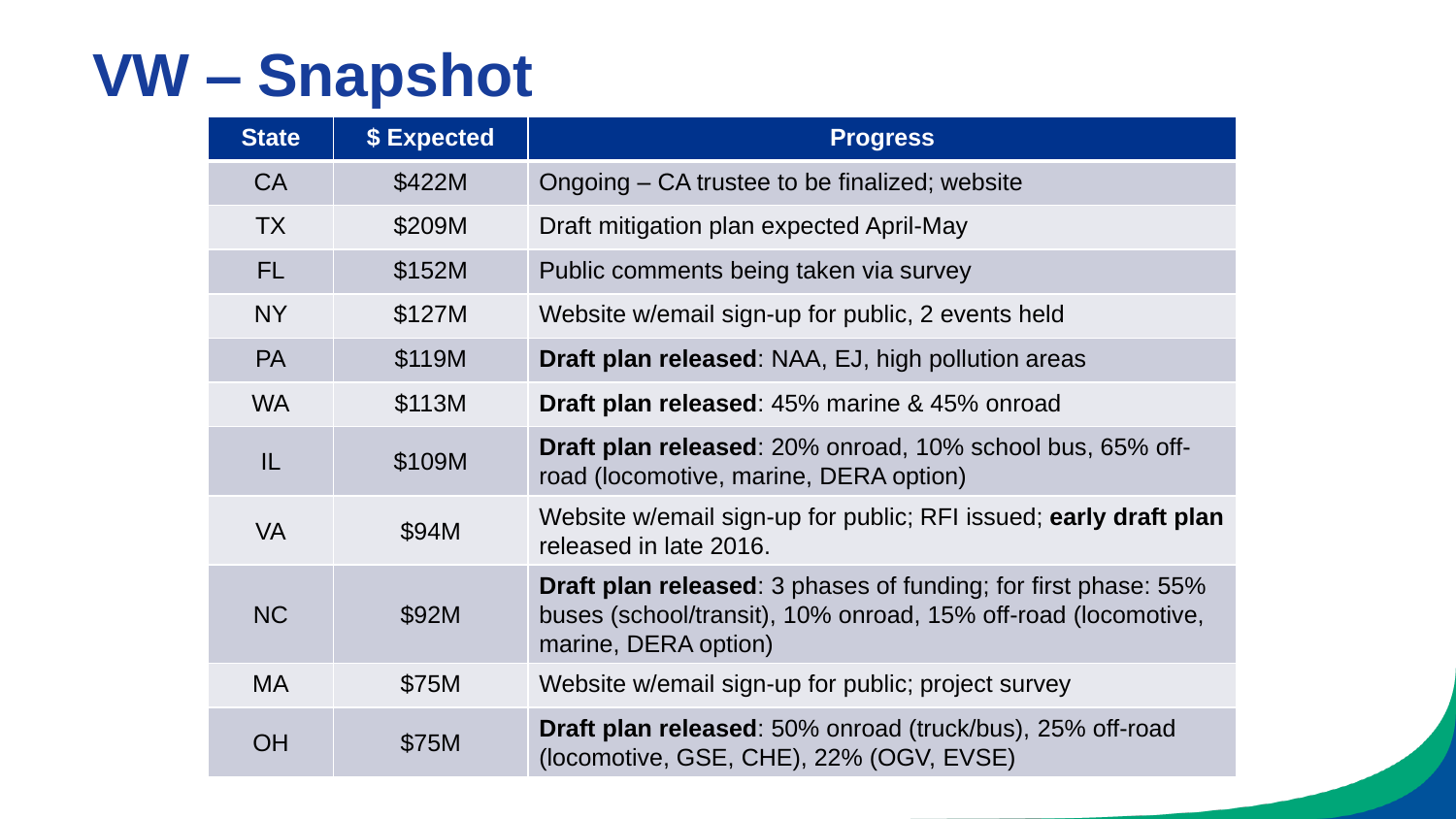# **VW – Snapshot**

| <b>State</b> | \$ Expected | <b>Progress</b>                                                                                                                                                |
|--------------|-------------|----------------------------------------------------------------------------------------------------------------------------------------------------------------|
| <b>CA</b>    | \$422M      | Ongoing – CA trustee to be finalized; website                                                                                                                  |
| <b>TX</b>    | \$209M      | Draft mitigation plan expected April-May                                                                                                                       |
| <b>FL</b>    | \$152M      | Public comments being taken via survey                                                                                                                         |
| <b>NY</b>    | \$127M      | Website w/email sign-up for public, 2 events held                                                                                                              |
| <b>PA</b>    | \$119M      | <b>Draft plan released:</b> NAA, EJ, high pollution areas                                                                                                      |
| <b>WA</b>    | \$113M      | <b>Draft plan released:</b> 45% marine & 45% onroad                                                                                                            |
| IL           | \$109M      | <b>Draft plan released:</b> 20% onroad, 10% school bus, 65% off-<br>road (locomotive, marine, DERA option)                                                     |
| <b>VA</b>    | \$94M       | Website w/email sign-up for public; RFI issued; early draft plan<br>released in late 2016.                                                                     |
| <b>NC</b>    | \$92M       | <b>Draft plan released:</b> 3 phases of funding; for first phase: 55%<br>buses (school/transit), 10% onroad, 15% off-road (locomotive,<br>marine, DERA option) |
| <b>MA</b>    | \$75M       | Website w/email sign-up for public; project survey                                                                                                             |
| <b>OH</b>    | \$75M       | <b>Draft plan released:</b> 50% onroad (truck/bus), 25% off-road<br>(locomotive, GSE, CHE), 22% (OGV, EVSE)                                                    |